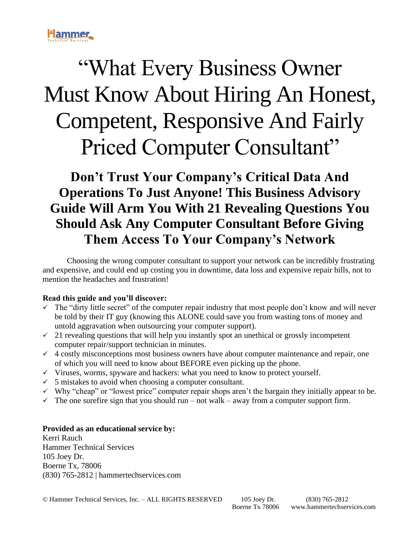# "What Every Business Owner Must Know About Hiring An Honest, Competent, Responsive And Fairly Priced Computer Consultant"

**Don't Trust Your Company's Critical Data And Operations To Just Anyone! This Business Advisory Guide Will Arm You With 21 Revealing Questions You Should Ask Any Computer Consultant Before Giving Them Access To Your Company's Network**

Choosing the wrong computer consultant to support your network can be incredibly frustrating and expensive, and could end up costing you in downtime, data loss and expensive repair bills, not to mention the headaches and frustration!

#### **Read this guide and you'll discover:**

- $\checkmark$  The "dirty little secret" of the computer repair industry that most people don't know and will never be told by their IT guy (knowing this ALONE could save you from wasting tons of money and untold aggravation when outsourcing your computer support).
- $\checkmark$  21 revealing questions that will help you instantly spot an unethical or grossly incompetent computer repair/support technician in minutes.
- $\checkmark$  4 costly misconceptions most business owners have about computer maintenance and repair, one of which you will need to know about BEFORE even picking up the phone.
- ✓ Viruses, worms, spyware and hackers: what you need to know to protect yourself.
- $\checkmark$  5 mistakes to avoid when choosing a computer consultant.
- $\checkmark$  Why "cheap" or "lowest price" computer repair shops aren't the bargain they initially appear to be.
- $\checkmark$  The one surefire sign that you should run not walk away from a computer support firm.

#### **Provided as an educational service by:**

Kerri Rauch Hammer Technical Services 105 Joey Dr. Boerne Tx, 78006 (830) 765-2812 | hammertechservices.com

© Hammer Technical Services, Inc. – ALL RIGHTS RESERVED 105 Joey Dr. (830) 765-2812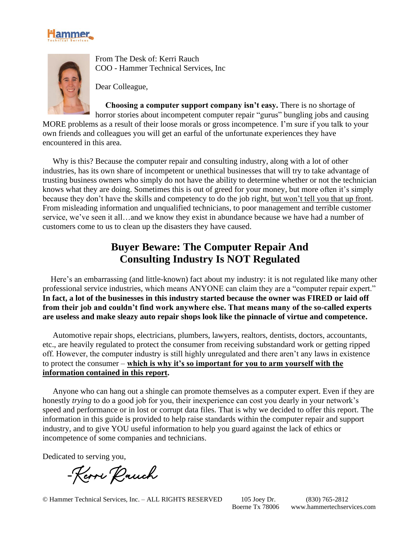



From The Desk of: Kerri Rauch COO - Hammer Technical Services, Inc

Dear Colleague,

 **Choosing a computer support company isn't easy.** There is no shortage of horror stories about incompetent computer repair "gurus" bungling jobs and causing

MORE problems as a result of their loose morals or gross incompetence. I'm sure if you talk to your own friends and colleagues you will get an earful of the unfortunate experiences they have encountered in this area.

 Why is this? Because the computer repair and consulting industry, along with a lot of other industries, has its own share of incompetent or unethical businesses that will try to take advantage of trusting business owners who simply do not have the ability to determine whether or not the technician knows what they are doing. Sometimes this is out of greed for your money, but more often it's simply because they don't have the skills and competency to do the job right, but won't tell you that up front. From misleading information and unqualified technicians, to poor management and terrible customer service, we've seen it all…and we know they exist in abundance because we have had a number of customers come to us to clean up the disasters they have caused.

# **Buyer Beware: The Computer Repair And Consulting Industry Is NOT Regulated**

 Here's an embarrassing (and little-known) fact about my industry: it is not regulated like many other professional service industries, which means ANYONE can claim they are a "computer repair expert." **In fact, a lot of the businesses in this industry started because the owner was FIRED or laid off from their job and couldn't find work anywhere else. That means many of the so-called experts are useless and make sleazy auto repair shops look like the pinnacle of virtue and competence.**

Automotive repair shops, electricians, plumbers, lawyers, realtors, dentists, doctors, accountants, etc., are heavily regulated to protect the consumer from receiving substandard work or getting ripped off. However, the computer industry is still highly unregulated and there aren't any laws in existence to protect the consumer – **which is why it's so important for you to arm yourself with the information contained in this report.**

 Anyone who can hang out a shingle can promote themselves as a computer expert. Even if they are honestly *trying* to do a good job for you, their inexperience can cost you dearly in your network's speed and performance or in lost or corrupt data files. That is why we decided to offer this report. The information in this guide is provided to help raise standards within the computer repair and support industry, and to give YOU useful information to help you guard against the lack of ethics or incompetence of some companies and technicians.

Dedicated to serving you,

-Kerri Rauch

© Hammer Technical Services, Inc. – ALL RIGHTS RESERVED 105 Joey Dr. (830) 765-2812

Boerne Tx 78006 www.hammertechservices.com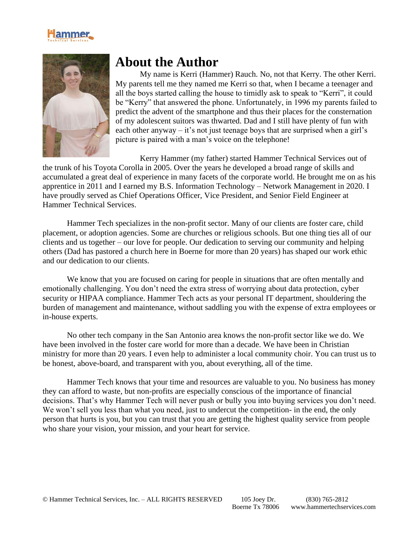



# **About the Author**

My name is Kerri (Hammer) Rauch. No, not that Kerry. The other Kerri. My parents tell me they named me Kerri so that, when I became a teenager and all the boys started calling the house to timidly ask to speak to "Kerri", it could be "Kerry" that answered the phone. Unfortunately, in 1996 my parents failed to predict the advent of the smartphone and thus their places for the consternation of my adolescent suitors was thwarted. Dad and I still have plenty of fun with each other anyway – it's not just teenage boys that are surprised when a girl's picture is paired with a man's voice on the telephone!

Kerry Hammer (my father) started Hammer Technical Services out of the trunk of his Toyota Corolla in 2005. Over the years he developed a broad range of skills and accumulated a great deal of experience in many facets of the corporate world. He brought me on as his apprentice in 2011 and I earned my B.S. Information Technology – Network Management in 2020. I have proudly served as Chief Operations Officer, Vice President, and Senior Field Engineer at Hammer Technical Services.

Hammer Tech specializes in the non-profit sector. Many of our clients are foster care, child placement, or adoption agencies. Some are churches or religious schools. But one thing ties all of our clients and us together – our love for people. Our dedication to serving our community and helping others (Dad has pastored a church here in Boerne for more than 20 years) has shaped our work ethic and our dedication to our clients.

We know that you are focused on caring for people in situations that are often mentally and emotionally challenging. You don't need the extra stress of worrying about data protection, cyber security or HIPAA compliance. Hammer Tech acts as your personal IT department, shouldering the burden of management and maintenance, without saddling you with the expense of extra employees or in-house experts.

No other tech company in the San Antonio area knows the non-profit sector like we do. We have been involved in the foster care world for more than a decade. We have been in Christian ministry for more than 20 years. I even help to administer a local community choir. You can trust us to be honest, above-board, and transparent with you, about everything, all of the time.

Hammer Tech knows that your time and resources are valuable to you. No business has money they can afford to waste, but non-profits are especially conscious of the importance of financial decisions. That's why Hammer Tech will never push or bully you into buying services you don't need. We won't sell you less than what you need, just to undercut the competition- in the end, the only person that hurts is you, but you can trust that you are getting the highest quality service from people who share your vision, your mission, and your heart for service.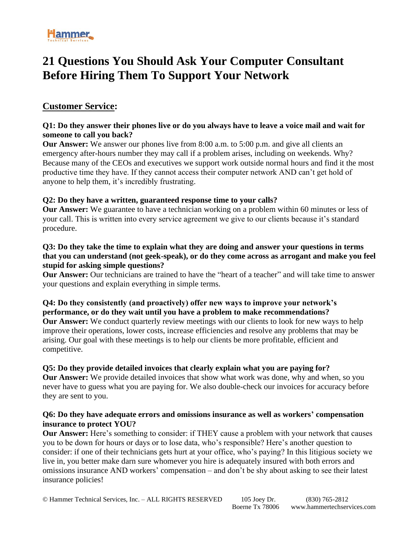

# **21 Questions You Should Ask Your Computer Consultant Before Hiring Them To Support Your Network**

#### **Customer Service:**

#### **Q1: Do they answer their phones live or do you always have to leave a voice mail and wait for someone to call you back?**

**Our Answer:** We answer our phones live from 8:00 a.m. to 5:00 p.m. and give all clients an emergency after-hours number they may call if a problem arises, including on weekends. Why? Because many of the CEOs and executives we support work outside normal hours and find it the most productive time they have. If they cannot access their computer network AND can't get hold of anyone to help them, it's incredibly frustrating.

#### **Q2: Do they have a written, guaranteed response time to your calls?**

**Our Answer:** We guarantee to have a technician working on a problem within 60 minutes or less of your call. This is written into every service agreement we give to our clients because it's standard procedure.

#### **Q3: Do they take the time to explain what they are doing and answer your questions in terms that you can understand (not geek-speak), or do they come across as arrogant and make you feel stupid for asking simple questions?**

**Our Answer:** Our technicians are trained to have the "heart of a teacher" and will take time to answer your questions and explain everything in simple terms.

#### **Q4: Do they consistently (and proactively) offer new ways to improve your network's performance, or do they wait until you have a problem to make recommendations?**

**Our Answer:** We conduct quarterly review meetings with our clients to look for new ways to help improve their operations, lower costs, increase efficiencies and resolve any problems that may be arising. Our goal with these meetings is to help our clients be more profitable, efficient and competitive.

#### **Q5: Do they provide detailed invoices that clearly explain what you are paying for?**

**Our Answer:** We provide detailed invoices that show what work was done, why and when, so you never have to guess what you are paying for. We also double-check our invoices for accuracy before they are sent to you.

#### **Q6: Do they have adequate errors and omissions insurance as well as workers' compensation insurance to protect YOU?**

**Our Answer:** Here's something to consider: if THEY cause a problem with your network that causes you to be down for hours or days or to lose data, who's responsible? Here's another question to consider: if one of their technicians gets hurt at your office, who's paying? In this litigious society we live in, you better make darn sure whomever you hire is adequately insured with both errors and omissions insurance AND workers' compensation – and don't be shy about asking to see their latest insurance policies!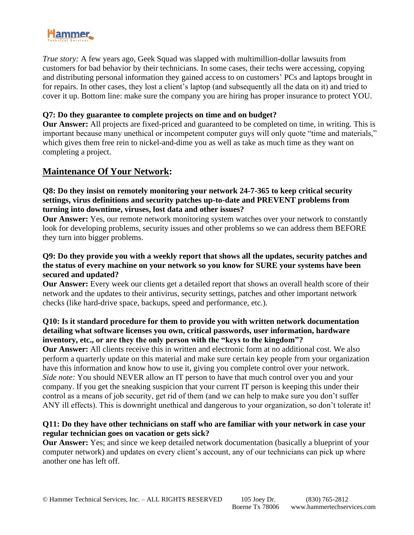

*True story:* A few years ago, Geek Squad was slapped with multimillion-dollar lawsuits from customers for bad behavior by their technicians. In some cases, their techs were accessing, copying and distributing personal information they gained access to on customers' PCs and laptops brought in for repairs. In other cases, they lost a client's laptop (and subsequently all the data on it) and tried to cover it up. Bottom line: make sure the company you are hiring has proper insurance to protect YOU.

#### **Q7: Do they guarantee to complete projects on time and on budget?**

**Our Answer:** All projects are fixed-priced and guaranteed to be completed on time, in writing. This is important because many unethical or incompetent computer guys will only quote "time and materials," which gives them free rein to nickel-and-dime you as well as take as much time as they want on completing a project.

#### **Maintenance Of Your Network:**

#### **Q8: Do they insist on remotely monitoring your network 24-7-365 to keep critical security settings, virus definitions and security patches up-to-date and PREVENT problems from turning into downtime, viruses, lost data and other issues?**

**Our Answer:** Yes, our remote network monitoring system watches over your network to constantly look for developing problems, security issues and other problems so we can address them BEFORE they turn into bigger problems.

#### **Q9: Do they provide you with a weekly report that shows all the updates, security patches and the status of every machine on your network so you know for SURE your systems have been secured and updated?**

**Our Answer:** Every week our clients get a detailed report that shows an overall health score of their network and the updates to their antivirus, security settings, patches and other important network checks (like hard-drive space, backups, speed and performance, etc.).

#### **Q10: Is it standard procedure for them to provide you with written network documentation detailing what software licenses you own, critical passwords, user information, hardware inventory, etc., or are they the only person with the "keys to the kingdom"?**

**Our Answer:** All clients receive this in written and electronic form at no additional cost. We also perform a quarterly update on this material and make sure certain key people from your organization have this information and know how to use it, giving you complete control over your network. *Side note:* You should NEVER allow an IT person to have that much control over you and your company. If you get the sneaking suspicion that your current IT person is keeping this under their control as a means of job security, get rid of them (and we can help to make sure you don't suffer ANY ill effects). This is downright unethical and dangerous to your organization, so don't tolerate it!

#### **Q11: Do they have other technicians on staff who are familiar with your network in case your regular technician goes on vacation or gets sick?**

**Our Answer:** Yes; and since we keep detailed network documentation (basically a blueprint of your computer network) and updates on every client's account, any of our technicians can pick up where another one has left off.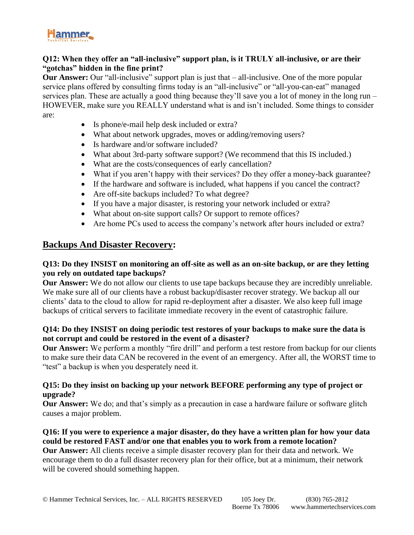

#### **Q12: When they offer an "all-inclusive" support plan, is it TRULY all-inclusive, or are their "gotchas" hidden in the fine print?**

**Our Answer:** Our "all-inclusive" support plan is just that – all-inclusive. One of the more popular service plans offered by consulting firms today is an "all-inclusive" or "all-you-can-eat" managed services plan. These are actually a good thing because they'll save you a lot of money in the long run – HOWEVER, make sure you REALLY understand what is and isn't included. Some things to consider are:

- Is phone/e-mail help desk included or extra?
- What about network upgrades, moves or adding/removing users?
- Is hardware and/or software included?
- What about 3rd-party software support? (We recommend that this IS included.)
- What are the costs/consequences of early cancellation?
- What if you aren't happy with their services? Do they offer a money-back guarantee?
- If the hardware and software is included, what happens if you cancel the contract?
- Are off-site backups included? To what degree?
- If you have a major disaster, is restoring your network included or extra?
- What about on-site support calls? Or support to remote offices?
- Are home PCs used to access the company's network after hours included or extra?

#### **Backups And Disaster Recovery:**

#### **Q13: Do they INSIST on monitoring an off-site as well as an on-site backup, or are they letting you rely on outdated tape backups?**

**Our Answer:** We do not allow our clients to use tape backups because they are incredibly unreliable. We make sure all of our clients have a robust backup/disaster recover strategy. We backup all our clients' data to the cloud to allow for rapid re-deployment after a disaster. We also keep full image backups of critical servers to facilitate immediate recovery in the event of catastrophic failure.

#### **Q14: Do they INSIST on doing periodic test restores of your backups to make sure the data is not corrupt and could be restored in the event of a disaster?**

**Our Answer:** We perform a monthly "fire drill" and perform a test restore from backup for our clients to make sure their data CAN be recovered in the event of an emergency. After all, the WORST time to "test" a backup is when you desperately need it.

#### **Q15: Do they insist on backing up your network BEFORE performing any type of project or upgrade?**

**Our Answer:** We do; and that's simply as a precaution in case a hardware failure or software glitch causes a major problem.

#### **Q16: If you were to experience a major disaster, do they have a written plan for how your data could be restored FAST and/or one that enables you to work from a remote location?**

**Our Answer:** All clients receive a simple disaster recovery plan for their data and network. We encourage them to do a full disaster recovery plan for their office, but at a minimum, their network will be covered should something happen.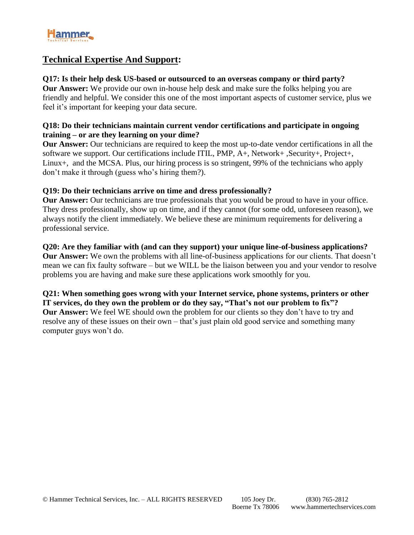

#### **Technical Expertise And Support:**

#### **Q17: Is their help desk US-based or outsourced to an overseas company or third party?**

**Our Answer:** We provide our own in-house help desk and make sure the folks helping you are friendly and helpful. We consider this one of the most important aspects of customer service, plus we feel it's important for keeping your data secure.

#### **Q18: Do their technicians maintain current vendor certifications and participate in ongoing training – or are they learning on your dime?**

**Our Answer:** Our technicians are required to keep the most up-to-date vendor certifications in all the software we support. Our certifications include ITIL, PMP, A+, Network+ ,Security+, Project+, Linux+, and the MCSA. Plus, our hiring process is so stringent, 99% of the technicians who apply don't make it through (guess who's hiring them?).

#### **Q19: Do their technicians arrive on time and dress professionally?**

**Our Answer:** Our technicians are true professionals that you would be proud to have in your office. They dress professionally, show up on time, and if they cannot (for some odd, unforeseen reason), we always notify the client immediately. We believe these are minimum requirements for delivering a professional service.

#### **Q20: Are they familiar with (and can they support) your unique line-of-business applications? Our Answer:** We own the problems with all line-of-business applications for our clients. That doesn't mean we can fix faulty software – but we WILL be the liaison between you and your vendor to resolve problems you are having and make sure these applications work smoothly for you.

#### **Q21: When something goes wrong with your Internet service, phone systems, printers or other IT services, do they own the problem or do they say, "That's not our problem to fix"? Our Answer:** We feel WE should own the problem for our clients so they don't have to try and resolve any of these issues on their own – that's just plain old good service and something many computer guys won't do.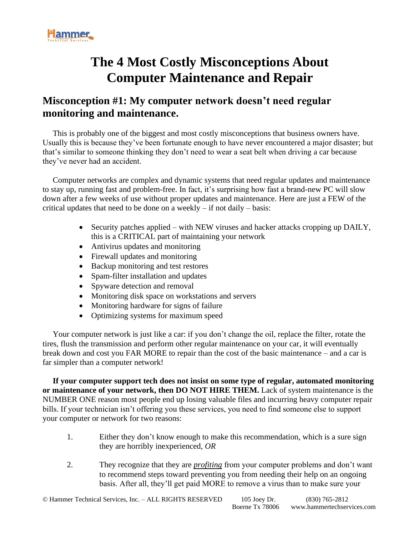# **The 4 Most Costly Misconceptions About Computer Maintenance and Repair**

# **Misconception #1: My computer network doesn't need regular monitoring and maintenance.**

 This is probably one of the biggest and most costly misconceptions that business owners have. Usually this is because they've been fortunate enough to have never encountered a major disaster; but that's similar to someone thinking they don't need to wear a seat belt when driving a car because they've never had an accident.

 Computer networks are complex and dynamic systems that need regular updates and maintenance to stay up, running fast and problem-free. In fact, it's surprising how fast a brand-new PC will slow down after a few weeks of use without proper updates and maintenance. Here are just a FEW of the critical updates that need to be done on a weekly  $-$  if not daily  $-$  basis:

- Security patches applied with NEW viruses and hacker attacks cropping up DAILY, this is a CRITICAL part of maintaining your network
- Antivirus updates and monitoring
- Firewall updates and monitoring
- Backup monitoring and test restores
- Spam-filter installation and updates
- Spyware detection and removal
- Monitoring disk space on workstations and servers
- Monitoring hardware for signs of failure
- Optimizing systems for maximum speed

 Your computer network is just like a car: if you don't change the oil, replace the filter, rotate the tires, flush the transmission and perform other regular maintenance on your car, it will eventually break down and cost you FAR MORE to repair than the cost of the basic maintenance – and a car is far simpler than a computer network!

 **If your computer support tech does not insist on some type of regular, automated monitoring or maintenance of your network, then DO NOT HIRE THEM.** Lack of system maintenance is the NUMBER ONE reason most people end up losing valuable files and incurring heavy computer repair bills. If your technician isn't offering you these services, you need to find someone else to support your computer or network for two reasons:

- 1. Either they don't know enough to make this recommendation, which is a sure sign they are horribly inexperienced, *OR*
- 2. They recognize that they are *profiting* from your computer problems and don't want to recommend steps toward preventing you from needing their help on an ongoing basis. After all, they'll get paid MORE to remove a virus than to make sure your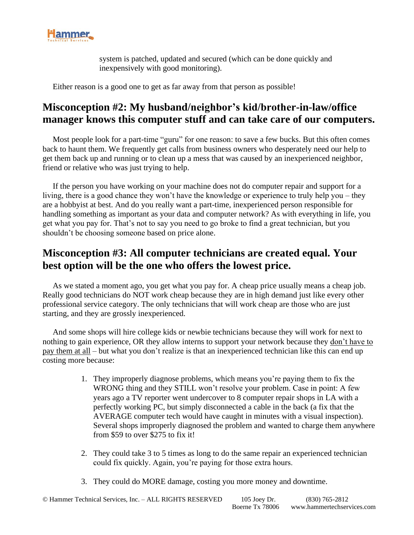

system is patched, updated and secured (which can be done quickly and inexpensively with good monitoring).

Either reason is a good one to get as far away from that person as possible!

# **Misconception #2: My husband/neighbor's kid/brother-in-law/office manager knows this computer stuff and can take care of our computers.**

 Most people look for a part-time "guru" for one reason: to save a few bucks. But this often comes back to haunt them. We frequently get calls from business owners who desperately need our help to get them back up and running or to clean up a mess that was caused by an inexperienced neighbor, friend or relative who was just trying to help.

 If the person you have working on your machine does not do computer repair and support for a living, there is a good chance they won't have the knowledge or experience to truly help you – they are a hobbyist at best. And do you really want a part-time, inexperienced person responsible for handling something as important as your data and computer network? As with everything in life, you get what you pay for. That's not to say you need to go broke to find a great technician, but you shouldn't be choosing someone based on price alone.

## **Misconception #3: All computer technicians are created equal. Your best option will be the one who offers the lowest price.**

 As we stated a moment ago, you get what you pay for. A cheap price usually means a cheap job. Really good technicians do NOT work cheap because they are in high demand just like every other professional service category. The only technicians that will work cheap are those who are just starting, and they are grossly inexperienced.

 And some shops will hire college kids or newbie technicians because they will work for next to nothing to gain experience, OR they allow interns to support your network because they don't have to pay them at all – but what you don't realize is that an inexperienced technician like this can end up costing more because:

- 1. They improperly diagnose problems, which means you're paying them to fix the WRONG thing and they STILL won't resolve your problem. Case in point: A few years ago a TV reporter went undercover to 8 computer repair shops in LA with a perfectly working PC, but simply disconnected a cable in the back (a fix that the AVERAGE computer tech would have caught in minutes with a visual inspection). Several shops improperly diagnosed the problem and wanted to charge them anywhere from \$59 to over \$275 to fix it!
- 2. They could take 3 to 5 times as long to do the same repair an experienced technician could fix quickly. Again, you're paying for those extra hours.
- 3. They could do MORE damage, costing you more money and downtime.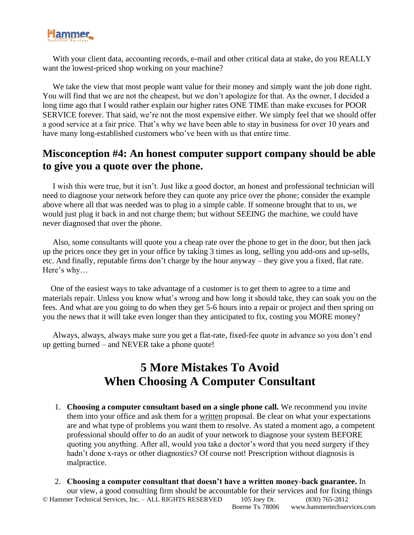

With your client data, accounting records, e-mail and other critical data at stake, do you REALLY want the lowest-priced shop working on your machine?

We take the view that most people want value for their money and simply want the job done right. You will find that we are not the cheapest, but we don't apologize for that. As the owner, I decided a long time ago that I would rather explain our higher rates ONE TIME than make excuses for POOR SERVICE forever. That said, we're not the most expensive either. We simply feel that we should offer a good service at a fair price. That's why we have been able to stay in business for over 10 years and have many long-established customers who've been with us that entire time.

### **Misconception #4: An honest computer support company should be able to give you a quote over the phone.**

 I wish this were true, but it isn't. Just like a good doctor, an honest and professional technician will need to diagnose your network before they can quote any price over the phone; consider the example above where all that was needed was to plug in a simple cable. If someone brought that to us, we would just plug it back in and not charge them; but without SEEING the machine, we could have never diagnosed that over the phone.

 Also, some consultants will quote you a cheap rate over the phone to get in the door, but then jack up the prices once they get in your office by taking 3 times as long, selling you add-ons and up-sells, etc. And finally, reputable firms don't charge by the hour anyway – they give you a fixed, flat rate. Here's why…

 One of the easiest ways to take advantage of a customer is to get them to agree to a time and materials repair. Unless you know what's wrong and how long it should take, they can soak you on the fees. And what are you going to do when they get 5-6 hours into a repair or project and then spring on you the news that it will take even longer than they anticipated to fix, costing you MORE money?

 Always, always, always make sure you get a flat-rate, fixed-fee quote in advance so you don't end up getting burned – and NEVER take a phone quote!

# **5 More Mistakes To Avoid When Choosing A Computer Consultant**

- 1. **Choosing a computer consultant based on a single phone call.** We recommend you invite them into your office and ask them for a written proposal. Be clear on what your expectations are and what type of problems you want them to resolve. As stated a moment ago, a competent professional should offer to do an audit of your network to diagnose your system BEFORE quoting you anything. After all, would you take a doctor's word that you need surgery if they hadn't done x-rays or other diagnostics? Of course not! Prescription without diagnosis is malpractice.
- © Hammer Technical Services, Inc. ALL RIGHTS RESERVED 105 Joey Dr. (830) 765-2812 Boerne Tx 78006 www.hammertechservices.com 2. **Choosing a computer consultant that doesn't have a written money**-**back guarantee.** In our view, a good consulting firm should be accountable for their services and for fixing things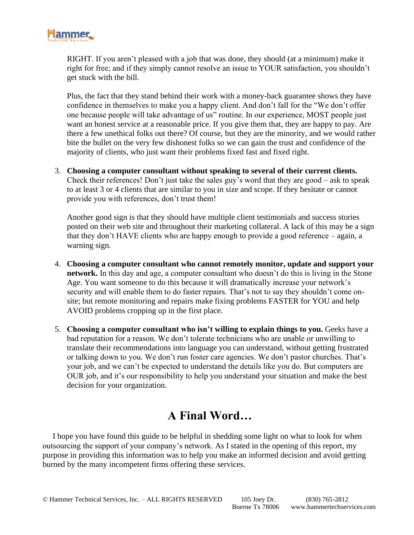

RIGHT. If you aren't pleased with a job that was done, they should (at a minimum) make it right for free; and if they simply cannot resolve an issue to YOUR satisfaction, you shouldn't get stuck with the bill.

Plus, the fact that they stand behind their work with a money-back guarantee shows they have confidence in themselves to make you a happy client. And don't fall for the "We don't offer one because people will take advantage of us" routine. In our experience, MOST people just want an honest service at a reasonable price. If you give them that, they are happy to pay. Are there a few unethical folks out there? Of course, but they are the minority, and we would rather bite the bullet on the very few dishonest folks so we can gain the trust and confidence of the majority of clients, who just want their problems fixed fast and fixed right.

3. **Choosing a computer consultant without speaking to several of their current clients.** Check their references! Don't just take the sales guy's word that they are good – ask to speak to at least 3 or 4 clients that are similar to you in size and scope. If they hesitate or cannot provide you with references, don't trust them!

Another good sign is that they should have multiple client testimonials and success stories posted on their web site and throughout their marketing collateral. A lack of this may be a sign that they don't HAVE clients who are happy enough to provide a good reference – again, a warning sign.

- 4. **Choosing a computer consultant who cannot remotely monitor, update and support your network.** In this day and age, a computer consultant who doesn't do this is living in the Stone Age. You want someone to do this because it will dramatically increase your network's security and will enable them to do faster repairs. That's not to say they shouldn't come onsite; but remote monitoring and repairs make fixing problems FASTER for YOU and help AVOID problems cropping up in the first place.
- 5. **Choosing a computer consultant who isn't willing to explain things to you.** Geeks have a bad reputation for a reason. We don't tolerate technicians who are unable or unwilling to translate their recommendations into language you can understand, without getting frustrated or talking down to you. We don't run foster care agencies. We don't pastor churches. That's your job, and we can't be expected to understand the details like you do. But computers are OUR job, and it's our responsibility to help you understand your situation and make the best decision for your organization.

# **A Final Word…**

 I hope you have found this guide to be helpful in shedding some light on what to look for when outsourcing the support of your company's network. As I stated in the opening of this report, my purpose in providing this information was to help you make an informed decision and avoid getting burned by the many incompetent firms offering these services.